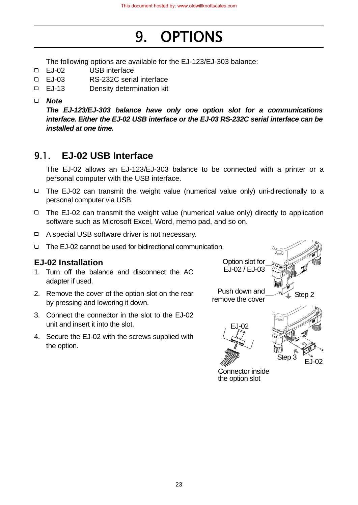# 9. OPTIONS

The following options are available for the EJ-123/EJ-303 balance:

- EJ-02 USB interface
- EJ-03 RS-232C serial interface
- EJ-13 Density determination kit

#### *Note*

*The EJ-123/EJ-303 balance have only one option slot for a communications interface. Either the EJ-02 USB interface or the EJ-03 RS-232C serial interface can be installed at one time.*

# 9.1. **EJ-02 USB Interface**

 The EJ-02 allows an EJ-123/EJ-303 balance to be connected with a printer or a personal computer with the USB interface.

- The EJ-02 can transmit the weight value (numerical value only) uni-directionally to a personal computer via USB.
- $\Box$  The EJ-02 can transmit the weight value (numerical value only) directly to application software such as Microsoft Excel, Word, memo pad, and so on.
- A special USB software driver is not necessary.
- The EJ-02 cannot be used for bidirectional communication.

#### **EJ-02 Installation**

- 1. Turn off the balance and disconnect the AC adapter if used.
- 2. Remove the cover of the option slot on the rear by pressing and lowering it down.
- 3. Connect the connector in the slot to the EJ-02 unit and insert it into the slot.
- 4. Secure the EJ-02 with the screws supplied with the option.

Option slot for EJ-02 / EJ-03



Push down and rush down and  $\sqrt{2}$  Step 2





Connector inside the option slot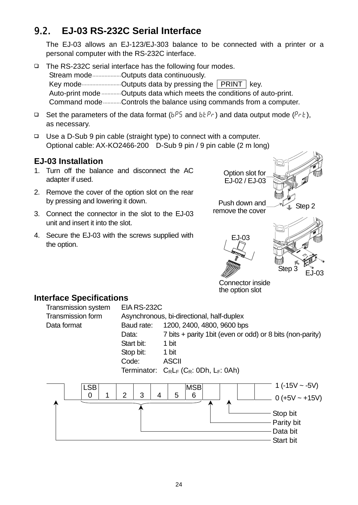# 9.2. **EJ-03 RS-232C Serial Interface**

 The EJ-03 allows an EJ-123/EJ-303 balance to be connected with a printer or a personal computer with the RS-232C interface.

- □ The RS-232C serial interface has the following four modes. Stream mode........................Outputs data continuously. Key mode..........................Outputs data by pressing the PRINT key. Auto-print mode .............. Outputs data which meets the conditions of auto-print. Command mode............Controls the balance using commands from a computer.
- **□** Set the parameters of the data format ( $b^{P}$ 5 and  $b^{P}$  $\in$ ) and data output mode ( $P \in L$ ), as necessary.
- Use a D-Sub 9 pin cable (straight type) to connect with a computer. Optional cable: AX-KO2466-200 D-Sub 9 pin / 9 pin cable (2 m long)

## **EJ-03 Installation**

- 1. Turn off the balance and disconnect the AC adapter if used.
- 2. Remove the cover of the option slot on the rear by pressing and lowering it down.
- 3. Connect the connector in the slot to the EJ-03 unit and insert it into the slot.
- 4. Secure the EJ-03 with the screws supplied with the option.







Connector inside the option slot

## **Interface Specifications**

| <b>Transmission system</b> | <b>EIA RS-232C</b>                        |                                                            |  |  |  |  |  |  |  |  |
|----------------------------|-------------------------------------------|------------------------------------------------------------|--|--|--|--|--|--|--|--|
| Transmission form          | Asynchronous, bi-directional, half-duplex |                                                            |  |  |  |  |  |  |  |  |
| Data format                | Baud rate:                                | 1200, 2400, 4800, 9600 bps                                 |  |  |  |  |  |  |  |  |
|                            | Data:                                     | 7 bits + parity 1 bit (even or odd) or 8 bits (non-parity) |  |  |  |  |  |  |  |  |
|                            | Start bit:                                | 1 bit                                                      |  |  |  |  |  |  |  |  |
|                            | Stop bit:                                 | 1 bit                                                      |  |  |  |  |  |  |  |  |
|                            | Code:                                     | <b>ASCII</b>                                               |  |  |  |  |  |  |  |  |
|                            |                                           | Terminator: $C_R L_F$ ( $C_R$ : 0Dh, $L_F$ : 0Ah)          |  |  |  |  |  |  |  |  |
|                            |                                           |                                                            |  |  |  |  |  |  |  |  |
| <b>LSB</b><br>$\Omega$     | ◠<br>C                                    | 1 (-15V ~ -5V)<br><b>MSB</b>                               |  |  |  |  |  |  |  |  |

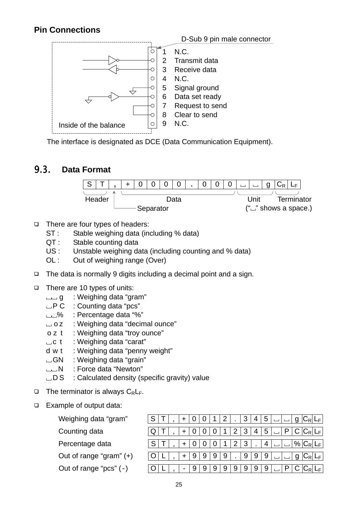## **Pin Connections**



The interface is designated as DCE (Data Communication Equipment).

## 9.3. **Data Format**



- $\Box$  There are four types of headers:
	- ST : Stable weighing data (including % data)
	- QT : Stable counting data
	- US : Unstable weighing data (including counting and % data)
	- OL : Out of weighing range (Over)
- $\Box$  The data is normally 9 digits including a decimal point and a sign.
- There are 10 types of units:
	- g : Weighing data "gram"
	- $\Box$  P C : Counting data "pcs"
	- % : Percentage data "%"
	- □ o z : Weighing data "decimal ounce"
	- o z t : Weighing data "troy ounce"
	- $\Box$  c t : Weighing data "carat"
	- d w t : Weighing data "penny weight"
	- GN : Weighing data "grain"
	- N : Force data "Newton"
	- $\Box$  D S  $\Box$ : Calculated density (specific gravity) value
- $\Box$  The terminator is always  $C_R L_F$ .
- Example of output data:

| Weighing data "gram"       |  |   |   |   |   |   |   | 4 | 5 |  |  |
|----------------------------|--|---|---|---|---|---|---|---|---|--|--|
| Counting data              |  |   |   |   |   |   |   | 4 | ა |  |  |
| Percentage data            |  |   |   |   |   |   |   |   | 4 |  |  |
| Out of range "gram" (+)    |  | 9 | 9 | 9 | 9 |   | 9 | 9 | 9 |  |  |
| Out of range " $pcs$ " (-) |  | 9 | 9 | 9 | 9 | 9 | 9 |   | 9 |  |  |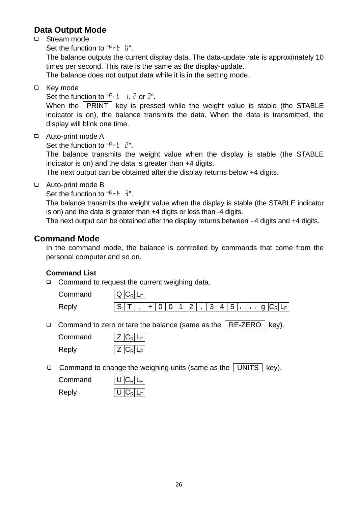### **Data Output Mode**

□ Stream mode

Set the function to " $P\n- E \quad U$ ".

 The balance outputs the current display data. The data-update rate is approximately 10 times per second. This rate is the same as the display-update.

The balance does not output data while it is in the setting mode.

□ Key mode

Set the function to " $P - E$  1, 2 or 3".

When the PRINT key is pressed while the weight value is stable (the STABLE indicator is on), the balance transmits the data. When the data is transmitted, the display will blink one time.

Auto-print mode A

Set the function to " $P - E = Z$ ".

 The balance transmits the weight value when the display is stable (the STABLE indicator is on) and the data is greater than +4 digits.

The next output can be obtained after the display returns below +4 digits.

Auto-print mode B

Set the function to " $P - E = 3$ ".

 The balance transmits the weight value when the display is stable (the STABLE indicator is on) and the data is greater than +4 digits or less than -4 digits.

The next output can be obtained after the display returns between -4 digits and +4 digits.

#### **Command Mode**

In the command mode, the balance is controlled by commands that come from the personal computer and so on.

#### **Command List**

□ Command to request the current weighing data.

Command  $|Q|C_R|L_F|$ Reply  $\boxed{S}$   $\boxed{T}$ ,  $\boxed{+}$  0 0 1 2 . 3 4 5  $\boxed{ }$  g  $\boxed{C_R}$  L<sub>F</sub>

Command to zero or tare the balance (same as the  $\sqrt{RE-ZERO}$  key).

Command  $|Z|C_R|L_F|$  $\mathsf{Reply}$   $|Z|C_R|L_F|$ 

Command to change the weighing units (same as the UNITS  $\vert$  key).

| Command | $\overline{ \bigcup C_R L_F }$ |
|---------|--------------------------------|
| Reply   | $\overline{U C_R L_F }$        |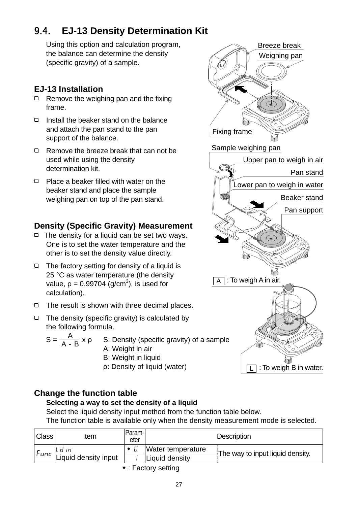# 9.4. **EJ-13 Density Determination Kit**

Using this option and calculation program, the balance can determine the density (specific gravity) of a sample.

# **EJ-13 Installation**

- $\Box$  Remove the weighing pan and the fixing frame.
- $\Box$  Install the beaker stand on the balance and attach the pan stand to the pan support of the balance.
- $\Box$  Remove the breeze break that can not be used while using the density determination kit.
- **Place a beaker filled with water on the** beaker stand and place the sample weighing pan on top of the pan stand.

# **Density (Specific Gravity) Measurement**

- $\Box$  The density for a liquid can be set two ways. One is to set the water temperature and the other is to set the density value directly.
- $\Box$  The factory setting for density of a liquid is 25 °C as water temperature (the density value,  $p = 0.99704$  (g/cm<sup>3</sup>), is used for calculation).
- $\Box$  The result is shown with three decimal places.
- $\Box$  The density (specific gravity) is calculated by the following formula.

$$
S = \frac{A}{A - B} \times \rho
$$
 S: Density (specific gravity) of a sample  
A: Weight in air  
B: Weight in liquid

- B: Weight in liquid
- ρ: Density of liquid (water)

# **Change the function table**

## **Selecting a way to set the density of a liquid**

Select the liquid density input method from the function table below. The function table is available only when the density measurement mode is selected.

| <b>Class</b> | ltem                                                                                                                                                                                                                              | Param-<br>eter | <b>Description</b> |                                  |  |  |  |  |  |
|--------------|-----------------------------------------------------------------------------------------------------------------------------------------------------------------------------------------------------------------------------------|----------------|--------------------|----------------------------------|--|--|--|--|--|
|              |                                                                                                                                                                                                                                   |                | Water temperature  | The way to input liquid density. |  |  |  |  |  |
|              | e <i>unc</i>   استان   استان   استان   استان   استان   استان   استان   استان   استان   استان   استان   استان  <br>استعمال استعمال   استعمال   استعمال   استعمال   استعمال   استعمال   استعمال   استعمال   استعمال   استعمال   است |                | Liquid density     |                                  |  |  |  |  |  |
|              | $\cdot$ , $\Gamma$ o of one of order of                                                                                                                                                                                           |                |                    |                                  |  |  |  |  |  |

: Factory setting

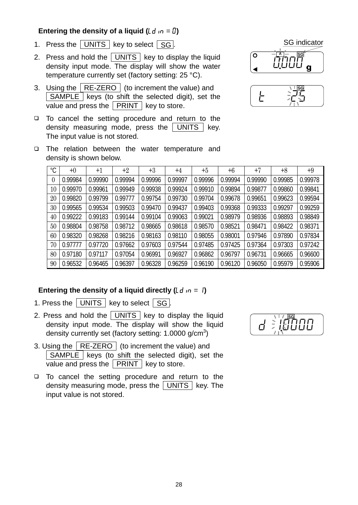#### **Entering the density of a liquid (** $\lfloor d \rfloor$  **in = 0)**

- 1. Press the  $\boxed{\overline{\text{UNITS}}}$  key to select  $\boxed{\text{SG}}$ .
- 2. Press and hold the UNITS key to display the liquid density input mode. The display will show the water temperature currently set (factory setting: 25 °C).
- 3. Using the  $\sqrt{RE-ZERO}$  (to increment the value) and SAMPLE keys (to shift the selected digit), set the  $\overline{\mathsf{value}}$  and press the  $\boxed{\mathsf{PRINT}}$  key to store.
- □ To cancel the setting procedure and return to the density measuring mode, press the  $\vert$  UNITS  $\vert$  key. The input value is not stored.





□ The relation between the water temperature and density is shown below.

| °C       | $+0$    | $+1$    | $+2$    | $+3$    | $+4$    | $+5$    | $+6$    | $+7$    | $+8$    | $+9$    |
|----------|---------|---------|---------|---------|---------|---------|---------|---------|---------|---------|
| $\theta$ | 0.99984 | 0.99990 | 0.99994 | 0.99996 | 0.99997 | 0.99996 | 0.99994 | 0.99990 | 0.99985 | 0.99978 |
| 10       | 0.99970 | 0.99961 | 0.99949 | 0.99938 | 0.99924 | 0.99910 | 0.99894 | 0.99877 | 0.99860 | 0.99841 |
| 20       | 0.99820 | 0.99799 | 0.99777 | 0.99754 | 0.99730 | 0.99704 | 0.99678 | 0.99651 | 0.99623 | 0.99594 |
| 30       | 0.99565 | 0.99534 | 0.99503 | 0.99470 | 0.99437 | 0.99403 | 0.99368 | 0.99333 | 0.99297 | 0.99259 |
| 40       | 0.99222 | 0.99183 | 0.99144 | 0.99104 | 0.99063 | 0.99021 | 0.98979 | 0.98936 | 0.98893 | 0.98849 |
| 50       | 0.98804 | 0.98758 | 0.98712 | 0.98665 | 0.98618 | 0.98570 | 0.98521 | 0.98471 | 0.98422 | 0.98371 |
| 60       | 0.98320 | 0.98268 | 0.98216 | 0.98163 | 0.98110 | 0.98055 | 0.98001 | 0.97946 | 0.97890 | 0.97834 |
| 70       | 0.97777 | 0.97720 | 0.97662 | 0.97603 | 0.97544 | 0.97485 | 0.97425 | 0.97364 | 0.97303 | 0.97242 |
| 80       | 0.97180 | 0.97117 | 0.97054 | 0.96991 | 0.96927 | 0.96862 | 0.96797 | 0.96731 | 0.96665 | 0.96600 |
| 90       | 0.96532 | 0.96465 | 0.96397 | 0.96328 | 0.96259 | 0.96190 | 0.96120 | 0.96050 | 0.95979 | 0.95906 |

#### **Entering the density of a liquid directly (** $\lfloor d \rfloor$  $\lfloor d \rfloor$ **)**

- 1. Press the  $\boxed{\overline{\text{UNITS}}}$  key to select  $\boxed{\text{SG}}$ .
- 2. Press and hold the  $\boxed{\overline{UNITS}}$  key to display the liquid density input mode. The display will show the liquid density currently set (factory setting: 1.0000 g/cm<sup>3</sup>)
- 3. Using the RE-ZERO (to increment the value) and  $\sqrt{\text{SAMPLE}}$  keys (to shift the selected digit), set the value and press the  $|$  PRINT  $|$  key to store.
- □ To cancel the setting procedure and return to the density measuring mode, press the  $\sqrt{\text{UNITS}}$  key. The input value is not stored.

 $d \stackrel{?}{=}$ **SG**